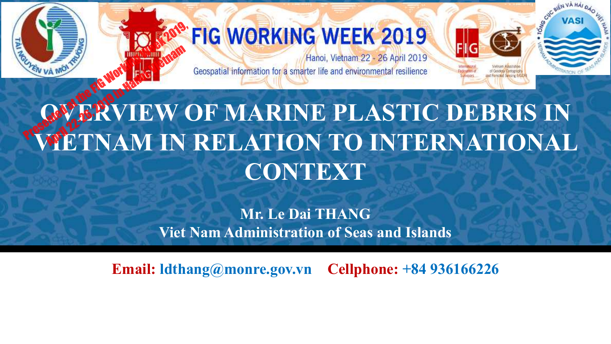

### **FIG WORKING WEEK 2019**

Hanoi, Vietnam 22 - 26 April 2019 Geospatial information for a smarter life and environmental resilience **VASI** 

# *<u>OFFRYIEW OF MARINE PLASTIC DEBRIS IN</u>* **WETNAM IN RELATION TO INTERNATIONAL CONTEXT** Presented at the FIG Working Week 2019, **A MONTE CONSTRUCTION CONSTRUCTS ON A REAL PROPERTY OF A REAL PROPERTY OF A REAL PROPERTY OF A REAL PROPERTY**

**Mr. Le Dai THANG Viet Nam Administration of Seas and Islands**

**Email: ldthang@monre.gov.vn Cellphone: +84 936166226**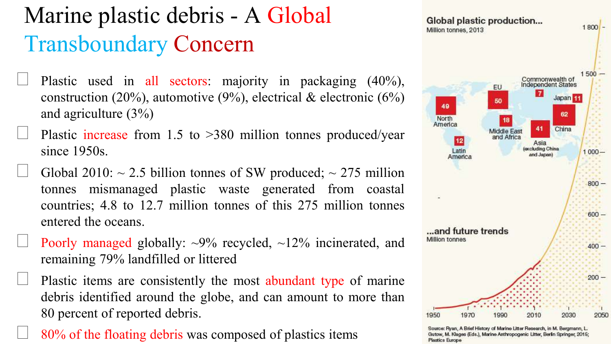### Marine plastic debris - A Global Transboundary Concern

- Plastic used in all sectors: majority in packaging (40%), construction (20%), automotive (9%), electrical & electronic (6%) and agriculture (3%)
- ▹ Plastic increase from 1.5 to >380 million tonnes produced/year since 1950s.
- Global 2010:  $\sim$  2.5 billion tonnes of SW produced;  $\sim$  275 million tonnes mismanaged plastic waste generated from coastal countries; 4.8 to 12.7 million tonnes of this 275 million tonnes entered the oceans.
- Poorly managed globally:  $\sim 9\%$  recycled,  $\sim 12\%$  incinerated, and remaining 79% landfilled or littered
- Plastic items are consistently the most abundant type of marine debris identified around the globe, and can amount to more than 80 percent of reported debris.
- ▹ 80% of the floating debris was composed of plastics items



Source: Ryan, A Brief History of Marine Litter Research, in M. Bergmann, L. Gutow, M. Klages (Eds.), Marine Anthropogenic Litter, Berlin Springer, 2015; Plastics Europe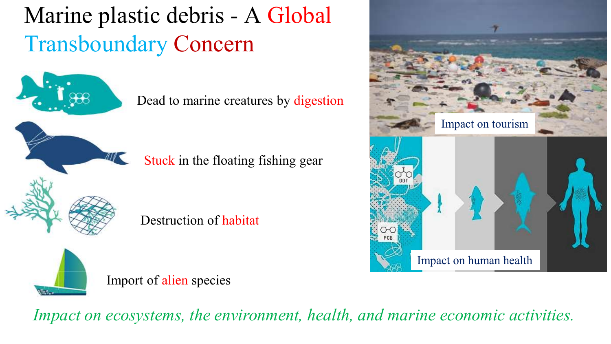## Marine plastic debris - A Global Transboundary Concern

Dead to marine creatures by digestion

Stuck in the floating fishing gear

Destruction of habitat



Import of alien species



Impact on human health

*Impact on ecosystems, the environment, health, and marine economic activities.*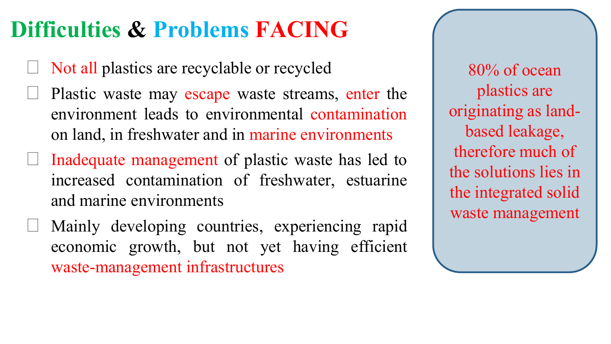#### **Difficulties & Problems FACING**

- ▹ Not all plastics are recyclable or recycled
- Plastic waste may escape waste streams, enter the environment leads to environmental contamination on land, in freshwater and in marine environments
- $\Box$  Inadequate management of plastic waste has led to increased contamination of freshwater, estuarine and marine environments
	- ▹ Mainly developing countries, experiencing rapid economic growth, but not yet having efficient waste-management infrastructures

80% of ocean plastics are originating as landbased leakage, therefore much of the solutions lies in the integrated solid waste management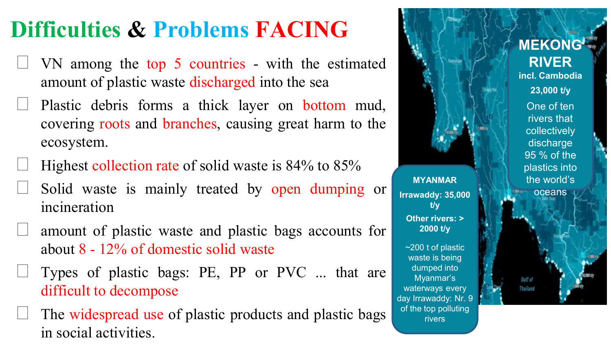#### **Difficulties & Problems FACING**

- ▹ VN among the top 5 countries with the estimated amount of plastic waste discharged into the sea
- ▹ Plastic debris forms a thick layer on bottom mud, covering roots and branches, causing great harm to the ecosystem.
- ▹ Highest collection rate of solid waste is 84% to 85%
- Solid waste is mainly treated by open dumping or incineration
- ▹ amount of plastic waste and plastic bags accounts for about 8 - 12% of domestic solid waste
- ▹ Types of plastic bags: PE, PP or PVC ... that are difficult to decompose
- The widespread use of plastic products and plastic bags in social activities.



**MYANMAR**

**t/y**

**2000 t/y**

dumped into Myanmar's

rivers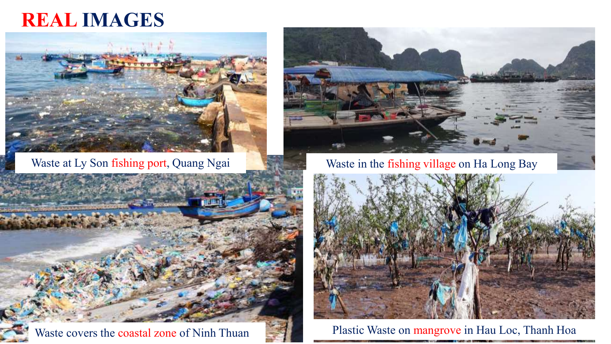#### **REAL IMAGES**







Waste at Ly Son fishing port, Quang Ngai Waste in the fishing village on Ha Long Bay

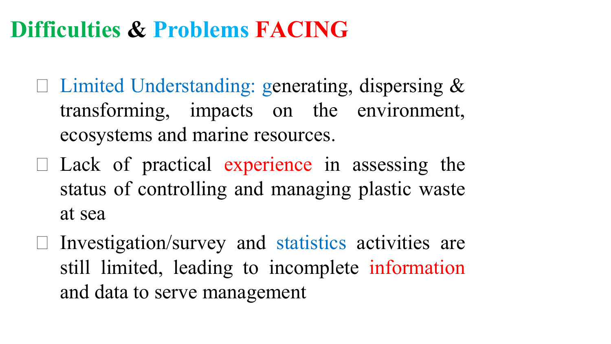#### **Difficulties & Problems FACING**

- $\Box$  Limited Understanding: generating, dispersing & transforming, impacts on the environment, ecosystems and marine resources.
- $\Box$  Lack of practical experience in assessing the status of controlling and managing plastic waste at sea
- $\Box$  Investigation/survey and statistics activities are still limited, leading to incomplete information and data to serve management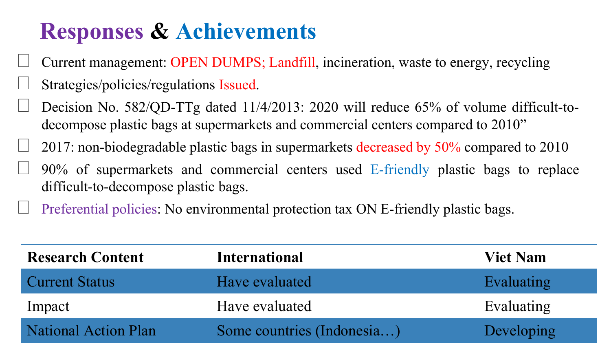#### **Responses & Achievements**

- ▹ Current management: OPEN DUMPS; Landfill, incineration, waste to energy, recycling ▹ Strategies/policies/regulations Issued.
- Decision No. 582/QD-TTg dated 11/4/2013: 2020 will reduce 65% of volume difficult-todecompose plastic bags at supermarkets and commercial centers compared to 2010"
- ▹ 2017: non-biodegradable plastic bags in supermarkets decreased by 50% compared to 2010
- ▹ 90% of supermarkets and commercial centers used E-friendly plastic bags to replace difficult-to-decompose plastic bags.
- ▹ Preferential policies: No environmental protection tax ON E-friendly plastic bags.

| <b>Research Content</b> | <b>International</b>       | <b>Viet Nam</b> |
|-------------------------|----------------------------|-----------------|
| <b>Current Status</b>   | Have evaluated             | Evaluating      |
| Impact                  | Have evaluated             | Evaluating      |
| National Action Plan    | Some countries (Indonesia) | Developing      |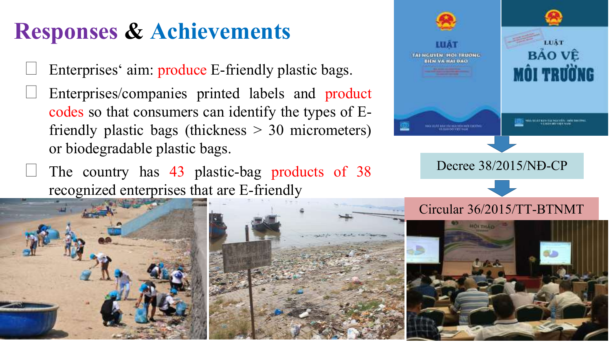### **Responses & Achievements**

- Enterprises' aim: produce E-friendly plastic bags.
- ▹ Enterprises/companies printed labels and product codes so that consumers can identify the types of Efriendly plastic bags (thickness > 30 micrometers) or biodegradable plastic bags.
	- ▹ The country has 43 plastic-bag products of 38 recognized enterprises that are E-friendly





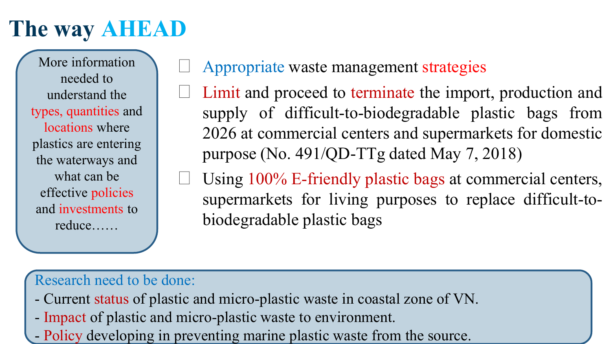#### **The way AHEAD**

More information needed to understand the types, quantities and locations where plastics are entering the waterways and what can be effective policies and investments to reduce……

#### ▹ Appropriate waste management strategies

- Limit and proceed to terminate the import, production and supply of difficult-to-biodegradable plastic bags from 2026 at commercial centers and supermarkets for domestic purpose (No. 491/QD-TTg dated May 7, 2018)
- Using 100% E-friendly plastic bags at commercial centers, supermarkets for living purposes to replace difficult-tobiodegradable plastic bags

#### Research need to be done:

- Current status of plastic and micro-plastic waste in coastal zone of VN.
- Impact of plastic and micro-plastic waste to environment.
- Policy developing in preventing marine plastic waste from the source.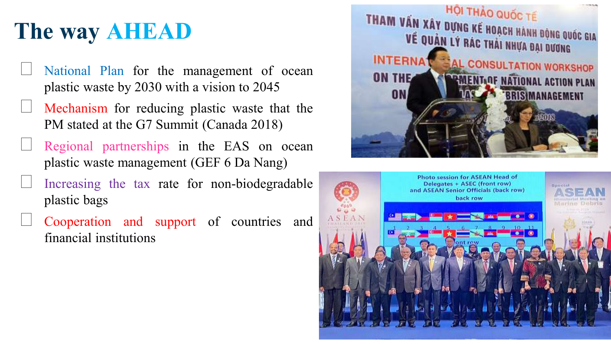## **The way AHEAD**

- National Plan for the management of ocean plastic waste by 2030 with a vision to 2045
- ▹ Mechanism for reducing plastic waste that the PM stated at the G7 Summit (Canada 2018)
- Regional partnerships in the EAS on ocean plastic waste management (GEF 6 Da Nang)
- Increasing the tax rate for non-biodegradable plastic bags
- ▹ Cooperation and support of countries and financial institutions



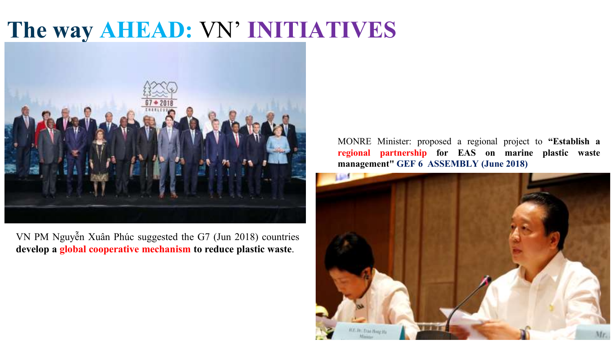#### **The way AHEAD:** VN' **INITIATIVES**



VN PM Nguyễn Xuân Phúc suggested the G7 (Jun 2018) countries **develop a global cooperative mechanism to reduce plastic waste**.

MONRE Minister: proposed a regional project to **"Establish a regional partnership for EAS on marine plastic waste management" GEF 6 ASSEMBLY (June 2018)**

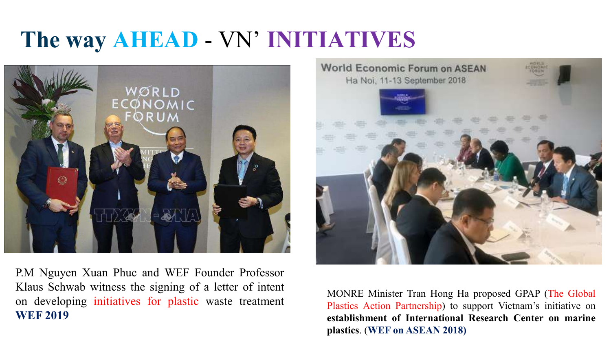#### **The way AHEAD** - VN' **INITIATIVES**



P.M Nguyen Xuan Phuc and WEF Founder Professor Klaus Schwab witness the signing of a letter of intent on developing initiatives for plastic waste treatment **WEF 2019**



MONRE Minister Tran Hong Ha proposed GPAP (The Global Plastics Action Partnership) to support Vietnam's initiative on **establishment of International Research Center on marine plastics**. (**WEF on ASEAN 2018)**